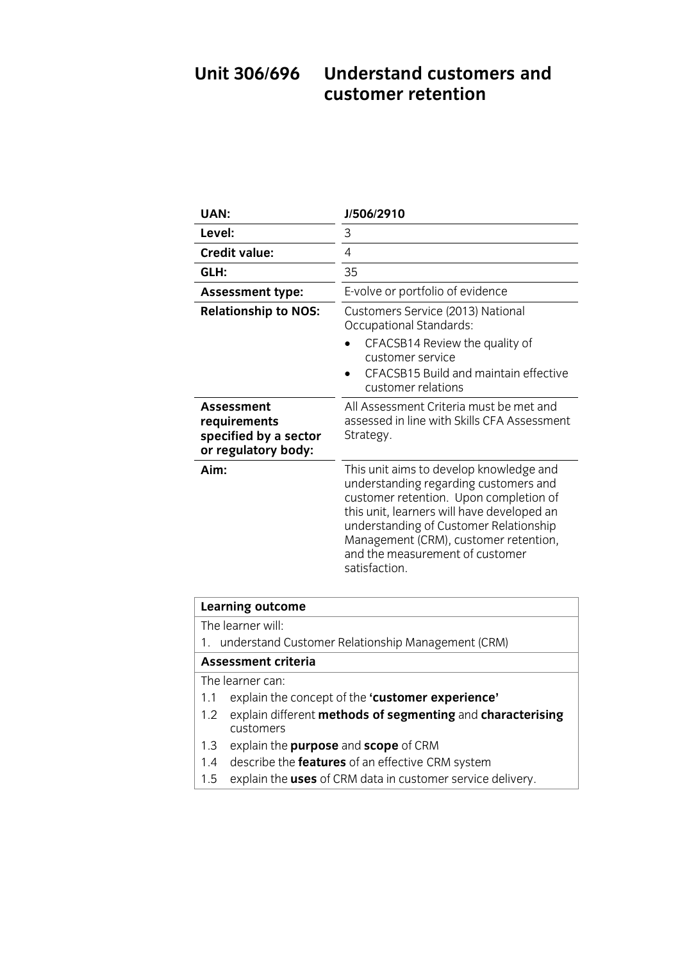# Unit 306/696 Understand customers and<br>customer retention

| UAN:                                                                              | J/506/2910                                                                                                                                                                                                                                                                                                      |
|-----------------------------------------------------------------------------------|-----------------------------------------------------------------------------------------------------------------------------------------------------------------------------------------------------------------------------------------------------------------------------------------------------------------|
| Level:                                                                            | 3                                                                                                                                                                                                                                                                                                               |
| <b>Credit value:</b>                                                              | 4                                                                                                                                                                                                                                                                                                               |
| GLH:                                                                              | 35                                                                                                                                                                                                                                                                                                              |
| <b>Assessment type:</b>                                                           | E-volve or portfolio of evidence                                                                                                                                                                                                                                                                                |
| <b>Relationship to NOS:</b>                                                       | Customers Service (2013) National<br><b>Occupational Standards:</b>                                                                                                                                                                                                                                             |
|                                                                                   | CFACSB14 Review the quality of<br>customer service<br>CFACSB15 Build and maintain effective<br>customer relations                                                                                                                                                                                               |
| <b>Assessment</b><br>requirements<br>specified by a sector<br>or regulatory body: | All Assessment Criteria must be met and<br>assessed in line with Skills CFA Assessment<br>Strategy.                                                                                                                                                                                                             |
| Aim:                                                                              | This unit aims to develop knowledge and<br>understanding regarding customers and<br>customer retention. Upon completion of<br>this unit, learners will have developed an<br>understanding of Customer Relationship<br>Management (CRM), customer retention,<br>and the measurement of customer<br>satisfaction. |

| <b>Learning outcome</b>                                           |  |
|-------------------------------------------------------------------|--|
| The learner will:                                                 |  |
| 1. understand Customer Relationship Management (CRM)              |  |
| Assessment criteria                                               |  |
| The learner can:                                                  |  |
| explain the concept of the 'customer experience'<br>1.1           |  |
| explain different methods of segmenting and characterising<br>1.2 |  |
| customers                                                         |  |
| explain the purpose and scope of CRM<br>1.3                       |  |
| describe the features of an effective CRM system<br>1.4           |  |
| explain the uses of CRM data in customer service delivery.<br>1.5 |  |
|                                                                   |  |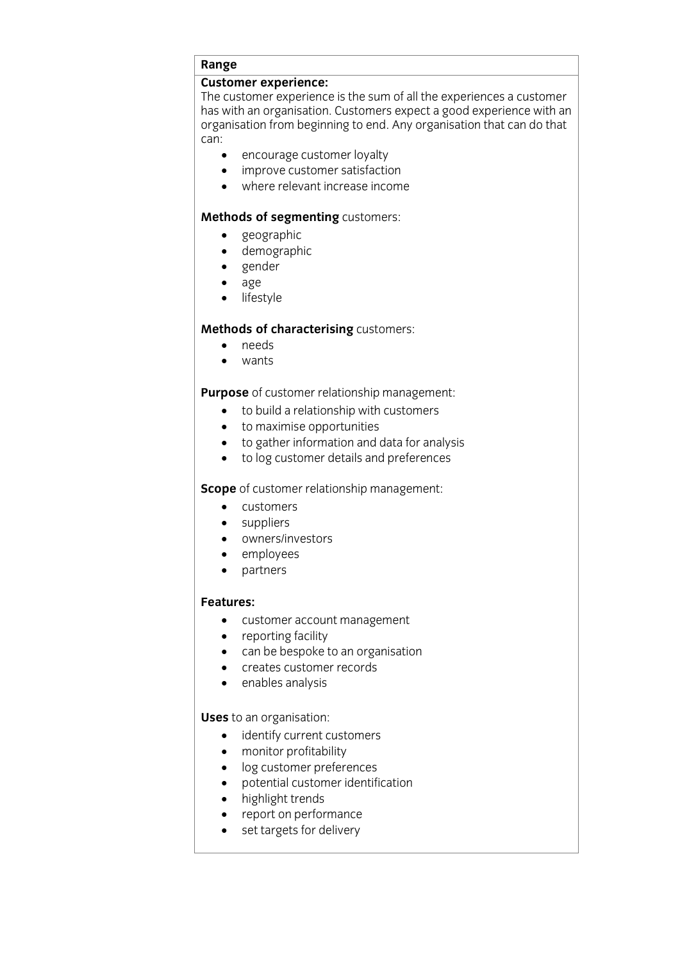## **Range**<br>Customer experience:

The customer experience is the sum of all the experiences a customer has with an organisation. Customers expect a good experience with an has with an organisation. Customers expect a good experience with an<br>organisation from heginning to end. Any organisation that can do that organisation from beginning to end. Any organisation that can do that

- can: • encourage customer loyalty
	- improve customer satisfaction<br>• where relevant increase incom
	- where relevant increase income

## **Methods of segmenting** customers:<br>• geographic

- geographic<br>• demograph
- demographic
- gender<br>• age
- age
- lifestyle

### **Methods of characterising** customers:<br>• needs

- needs<br>• wants
- wants

- **Purpose** of customer relationship management:<br> **•** to build a relationship with customers
	- to maximise opportunities
	- to gather information and data for analysis
	- to log customer details and preferences

- **Scope of customers**<br> **SCOPER RELATIONS** 
	- suppliers
	- owners/investors
	- employees<br>• partners
	- partners

### **Features:**

- customer account management
- reporting facility
- can be bespoke to an organisation
- creates customer records
- enables analysis

- **use to an organisation:**<br> **identify current customers** 
	- monitor profitability
	- log customer preferences
	- potential customer identification
	- highlight trends
	- report on performance
	- set targets for delivery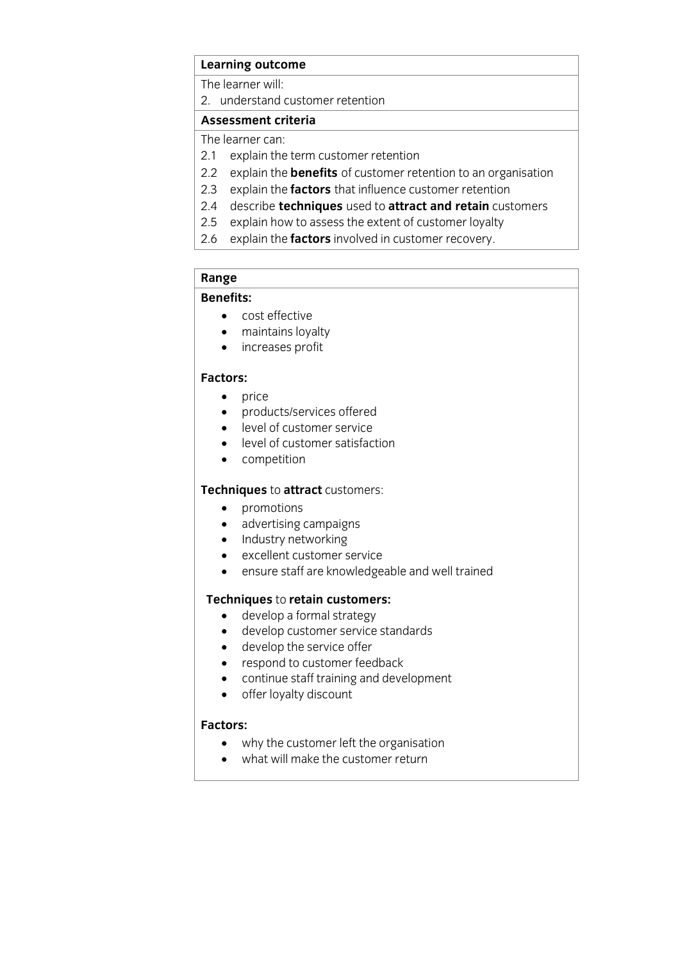### **Learning outcome**<br>The learner will:

2. understand customer retention

### Assessment criteria

The learner can:

- 2.1 explain the term customer retention
- 2.2 explain the **benefits** of customer retention to an organisation
- 2.3 explain the **factors** that influence customer retention
- 2.4 describe **techniques** used to **attract and retain** customers
- 2.5 explain how to assess the extent of customer loyalty
- $2.5$  explain the **factors** involved in customer recovery 2.6 explain the **factors** involved in customer recovery.

## **Range**

- **Benefits:** cost effective
- maintains loyalty
- increases profit

- price<br>• prod
	- products/services offered
	- level of customer service
	- level of customer satisfaction
	- competition

- **Techniques** to **attract customers:**<br> **e** promotions
	- advertising campaigns
	- Industry networking
	- excellent customer service<br>• ensure staff are knowledge
	- ensure staff are knowledgeable and well trained

- **Texa)**<br> **Text** develop a formal strategy<br> **A** develop customer service st
	- develop customer service standards
	- develop the service offer
	- respond to customer feedback
	- continue staff training and development
	- offer lovalty discount

### **Factors:**

- why the customer left the organisation<br>• what will make the customer return
	- what will make the customer return